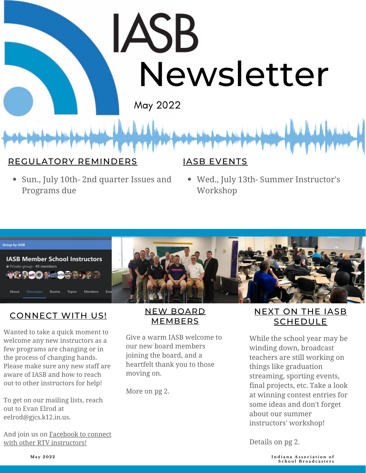# **JASB** [Ne](http://iasbonline.org/)wsletter

May 2022

#### REGULATORY REMINDERS

Sun., July 10th- 2nd quarter Issues and Programs due

#### IASB EVENTS

Wed., July 13th- Summer Instructor's Workshop



#### CONNECT WITH US!

Wanted to take a quick moment to welcome any new instructors as a few programs are changing or in the process of changing hands. Please make sure any new staff are aware of IASB and how to reach out to other instructors for help!

To get on our mailing lists, reach out to Evan Elrod at eelrod@gjcs.k12.in.us.

And join us on Facebook to connect with other RTV [instructors!](https://www.facebook.com/groups/678288085911661)

#### NEW BOARD MEMBERS

Give a warm IASB welcome to our new board members joining the board, and a heartfelt thank you to those moving on.

More on pg 2.

#### NEXT ON THE IASB SCHEDULE

While the school year may be winding down, broadcast teachers are still working on things like graduation streaming, sporting events, final projects, etc. Take a look at winning contest entries for some ideas and don't forget about our summer instructors' workshop!

Details on pg 2.